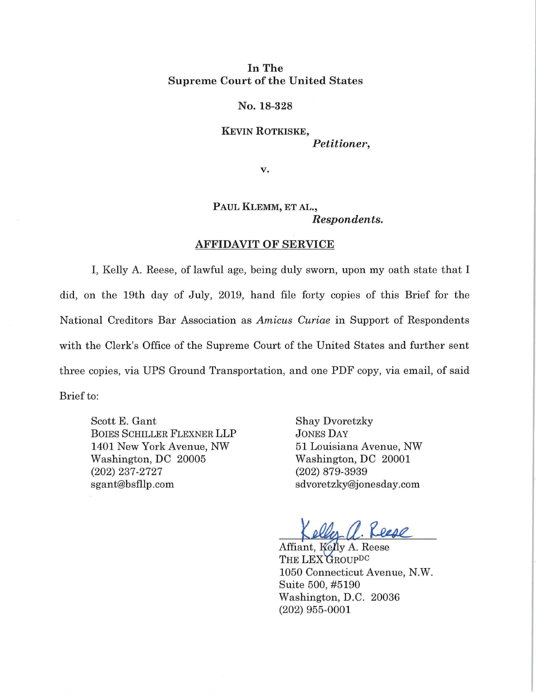## In The Supreme Court of the United States

No. 18-328

KEVIN ROTKISKE, *Petitioner,* 

v.

## PAUL KLEMM, ET AL., *Respondents.*

## AFFIDAVIT OF SERVICE

I, Kelly A. Reese, of lawful age, being duly sworn, upon my oath state that I did, on the 19th day of July, 2019, hand file forty copies of this Brief for the National Creditors Bar Association as *Amicus Curiae* in Support of Respondents with the Clerk's Office of the Supreme Court of the United States and further sent three copies, via UPS Ground Transportation, and one PDF copy, via email, of said Brief to:

Scott E. Gant BOIES SCHILLER FLEXNER LLP 1401 New York Avenue, NW Washington, DC 20005 (202) 237-2727 sgant@bsfllp .com

Shay Dvoretzky JONES DAY 51 Louisiana Avenue, NW Washington, DC 20001 (202) 879-3939 sdvoretzky@jonesday.com

1. Reese

Affiant, Kelly A. Reese THE LEX GROUP<sup>DC</sup> 1050 Connecticut Avenue, N.W. Suite 500, #5190 Washington, D.C. 20036 (202) 955-0001